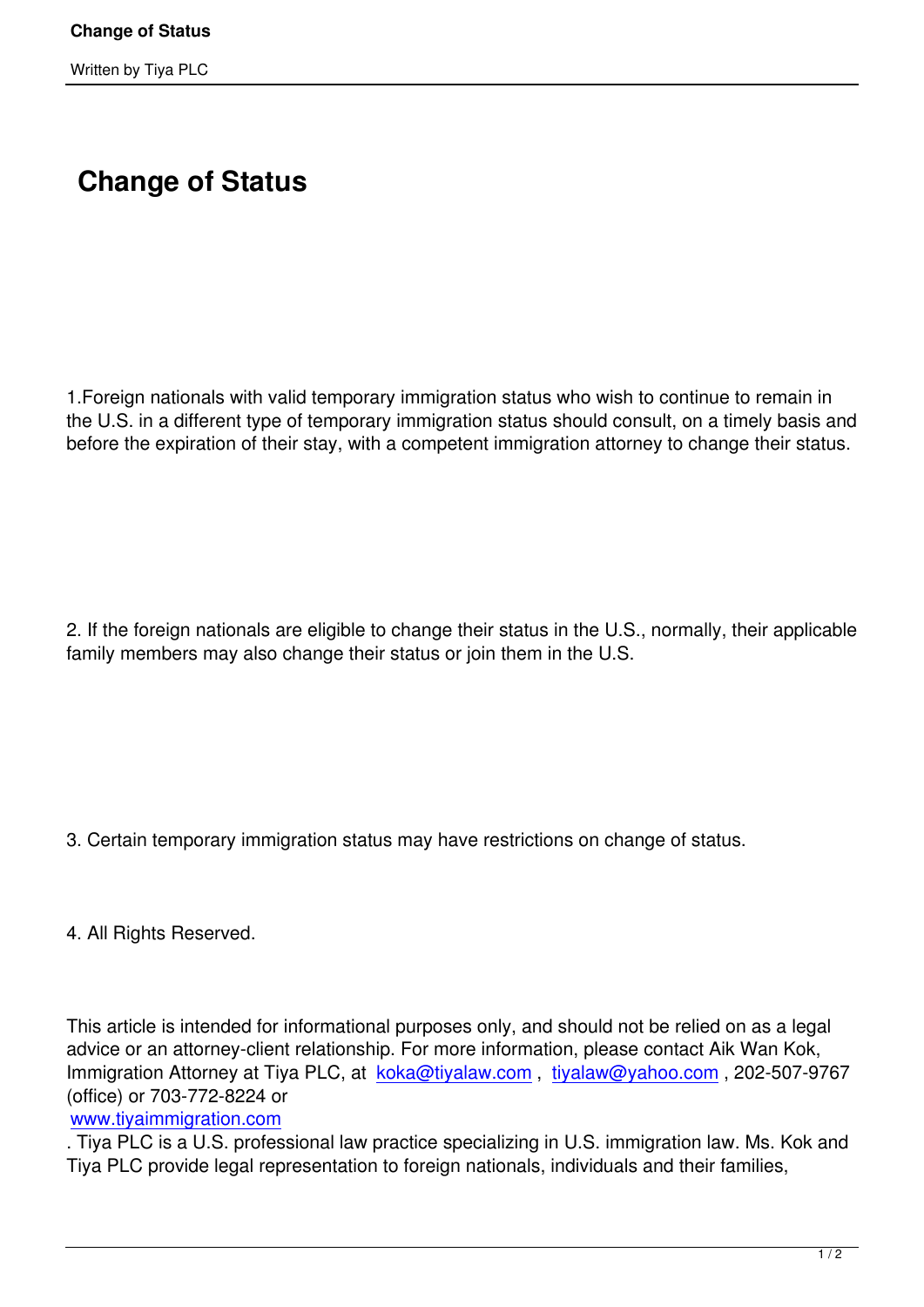## **Change of Status**

1.Foreign nationals with valid temporary immigration status who wish to continue to remain in the U.S. in a different type of temporary immigration status should consult, on a timely basis and before the expiration of their stay, with a competent immigration attorney to change their status.

2. If the foreign nationals are eligible to change their status in the U.S., normally, their applicable family members may also change their status or join them in the U.S.

3. Certain temporary immigration status may have restrictions on change of status.

4. All Rights Reserved.

This article is intended for informational purposes only, and should not be relied on as a legal advice or an attorney-client relationship. For more information, please contact Aik Wan Kok, Immigration Attorney at Tiya PLC, at koka@tiyalaw.com, tiyalaw@yahoo.com, 202-507-9767 (office) or 703-772-8224 or

www.tiyaimmigration.com

. Tiya PLC is a U.S. professional law [practice specializing](mailto:koka@tiyalaw.com) i[n U.S. immigration la](mailto:tiyalaw@yahoo.com)w. Ms. Kok and Tiya PLC provide legal representation to foreign nationals, individuals and their families,